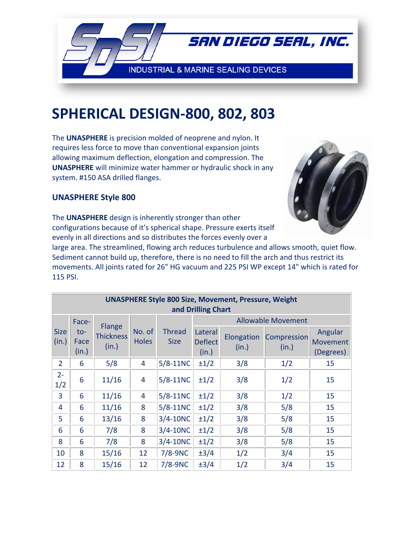

## SPHERICAL DESIGN-800, 802, 803

The UNASPHERE is precision molded of neoprene and nylon. It requires less force to move than conventional expansion joints allowing maximum deflection, elongation and compression. The **UNASPHERE** will minimize water hammer or hydraulic shock in any system. #150 ASA drilled flanges.



## **UNASPHERE Style 800**

The UNASPHERE design is inherently stronger than other configurations because of it's spherical shape. Pressure exerts itself evenly in all directions and so distributes the forces evenly over a

large area. The streamlined, flowing arch reduces turbulence and allows smooth, quiet flow. Sediment cannot build up, therefore, there is no need to fill the arch and thus restrict its movements. All joints rated for 26" HG vacuum and 225 PSI WP except 14" which is rated for 115 PSI.

| <b>UNASPHERE Style 800 Size, Movement, Pressure, Weight</b><br>and Drilling Chart |                               |                                     |                        |                              |                                    |                     |                                                   |                                  |
|-----------------------------------------------------------------------------------|-------------------------------|-------------------------------------|------------------------|------------------------------|------------------------------------|---------------------|---------------------------------------------------|----------------------------------|
| <b>Size</b><br>(in.)                                                              | Face-<br>to-<br>Face<br>(in.) | Flange<br><b>Thickness</b><br>(in.) | No. of<br><b>Holes</b> | <b>Thread</b><br><b>Size</b> | Lateral<br><b>Deflect</b><br>(in.) | Elongation<br>(in.) | <b>Allowable Movement</b><br>Compression<br>(in.) | Angular<br>Movement<br>(Degrees) |
| $\overline{2}$                                                                    | 6                             | 5/8                                 | 4                      | $5/8-11NC$                   | $\pm 1/2$                          | 3/8                 | 1/2                                               | 15                               |
| $2 -$<br>1/2                                                                      | 6                             | 11/16                               | 4                      | $5/8-11NC$                   | $\pm 1/2$                          | 3/8                 | 1/2                                               | 15                               |
| 3                                                                                 | 6                             | 11/16                               | 4                      | $5/8-11NC$                   | $\pm 1/2$                          | 3/8                 | 1/2                                               | 15                               |
| 4                                                                                 | 6                             | 11/16                               | 8                      | $5/8-11NC$                   | $\pm 1/2$                          | 3/8                 | 5/8                                               | 15                               |
| 5                                                                                 | 6                             | 13/16                               | 8                      | $3/4 - 10NC$                 | $\pm 1/2$                          | 3/8                 | 5/8                                               | 15                               |
| 6                                                                                 | 6                             | 7/8                                 | 8                      | $3/4 - 10NC$                 | $\pm 1/2$                          | 3/8                 | 5/8                                               | 15                               |
| 8                                                                                 | 6                             | 7/8                                 | 8                      | $3/4 - 10NC$                 | $\pm 1/2$                          | 3/8                 | 5/8                                               | 15                               |
| 10                                                                                | 8                             | 15/16                               | 12                     | $7/8-9NC$                    | $\pm 3/4$                          | 1/2                 | 3/4                                               | 15                               |
| 12                                                                                | 8                             | 15/16                               | 12                     | $7/8-9NC$                    | $\pm 3/4$                          | 1/2                 | 3/4                                               | 15                               |